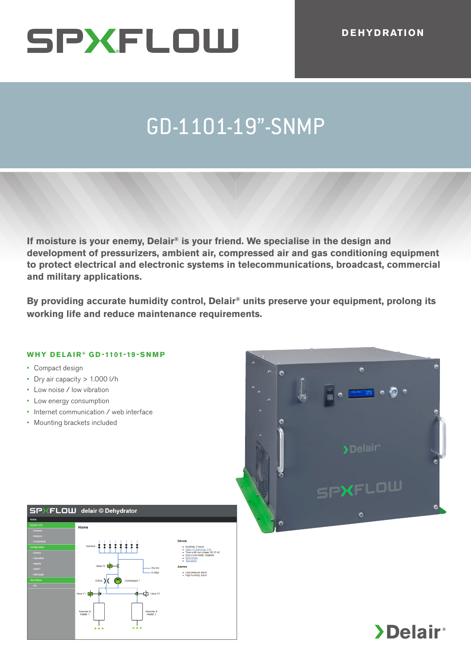## GD-1101-19"-SNMP GD-1101-19"-SNMP

**If moisture is your enemy, Delair® is your friend. We specialise in the design and development of pressurizers, ambient air, compressed air and gas conditioning equipment to protect electrical and electronic systems in telecommunications, broadcast, commercial and military applications. Example 1.000 l/h**<br> **Example 1.000 l/h**<br> **Example 1.000 l/h**<br> **Example 1.000 l/h**<br> **Example 1.000 l/h**<br> **Example 1.000 l/h**<br> **Example 2.000 l/h**<br> **Example 2.000 l/h**<br> **Example 2.000 l/h**<br> **Example 2.000 l/h**<br> **Example 2.0** If moisture is your enemy, Delair® is your friend. We specialise in the design and<br>development of pressurizers, ambient air, compressed air and gas conditioning equipment<br>to protect electrical and electronic systems in te

**By providing accurate humidity control, Delair® units preserve your equipment, prolong its working life and reduce maintenance requirements.**

## **WHY DELAIR ® GD-1101-19-SNMP WHY DELAIR ® GD-1101-19-SNMP**

• Compact design

 $\mathbf{G}$ 

- Dry air capacity > 1.000 l/h
- Low noise / low vibration
- Low energy consumption
- Internet communication / web interface
- Mounting brackets included